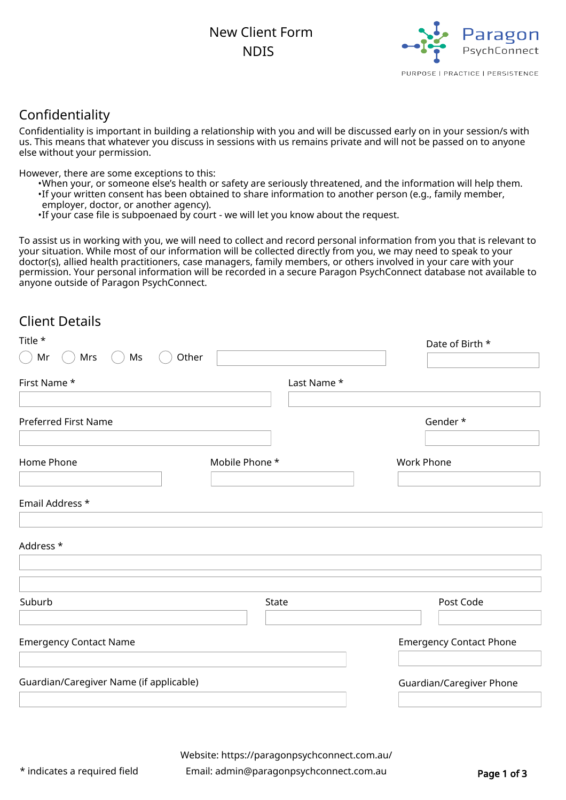New Client Form **NDIS** 



# Confidentiality

Confidentiality is important in building a relationship with you and will be discussed early on in your session/s with us. This means that whatever you discuss in sessions with us remains private and will not be passed on to anyone else without your permission.

However, there are some exceptions to this:

- •When your, or someone else's health or safety are seriously threatened, and the information will help them.
- If your written consent has been obtained to share information to another person (e.g., family member,
- employer, doctor, or another agency).
- •If your case file is subpoenaed by court we will let you know about the request.

To assist us in working with you, we will need to collect and record personal information from you that is relevant to your situation. While most of our information will be collected directly from you, we may need to speak to your doctor(s), allied health practitioners, case managers, family members, or others involved in your care with your permission. Your personal information will be recorded in a secure Paragon PsychConnect database not available to anyone outside of Paragon PsychConnect.

## Client Details

| Title *                                 |                | Date of Birth *                |
|-----------------------------------------|----------------|--------------------------------|
| Mrs<br>Ms<br>Mr                         | Other          |                                |
| First Name *                            | Last Name *    |                                |
|                                         |                |                                |
| <b>Preferred First Name</b>             |                | Gender *                       |
| Home Phone                              | Mobile Phone * | <b>Work Phone</b>              |
| Email Address *                         |                |                                |
| Address *                               |                |                                |
| Suburb                                  | State          | Post Code                      |
| <b>Emergency Contact Name</b>           |                | <b>Emergency Contact Phone</b> |
| Guardian/Caregiver Name (if applicable) |                | Guardian/Caregiver Phone       |
|                                         |                |                                |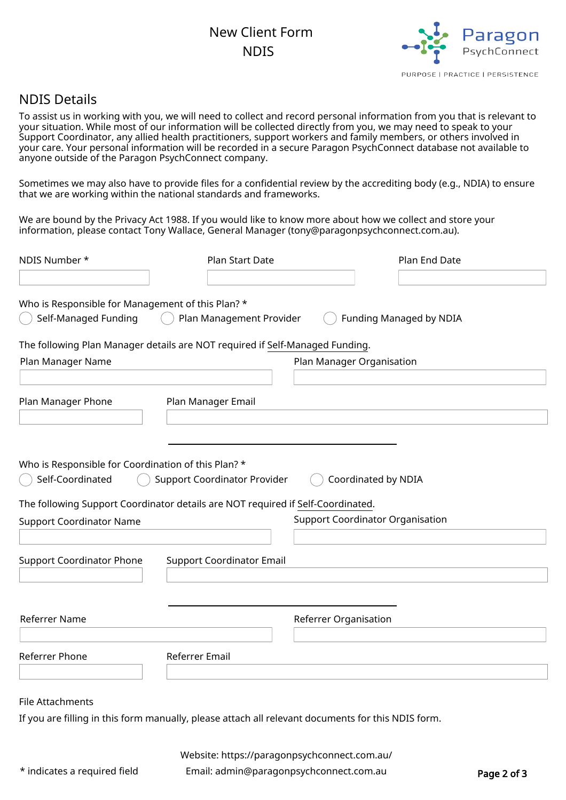# New Client Form **NDIS**



### NDIS Details

To assist us in working with you, we will need to collect and record personal information from you that is relevant to your situation. While most of our information will be collected directly from you, we may need to speak to your Support Coordinator, any allied health practitioners, support workers and family members, or others involved in your care. Your personal information will be recorded in a secure Paragon PsychConnect database not available to anyone outside of the Paragon PsychConnect company.

Sometimes we may also have to provide files for a confidential review by the accrediting body (e.g., NDIA) to ensure that we are working within the national standards and frameworks.

We are bound by the Privacy Act 1988. If you would like to know more about how we collect and store your information, please contact Tony Wallace, General Manager (tony@paragonpsychconnect.com.au).

| NDIS Number *                                                                   | Plan Start Date                                                                                                              |                                         | Plan End Date           |  |
|---------------------------------------------------------------------------------|------------------------------------------------------------------------------------------------------------------------------|-----------------------------------------|-------------------------|--|
|                                                                                 |                                                                                                                              |                                         |                         |  |
| Who is Responsible for Management of this Plan? *<br>Self-Managed Funding       | Plan Management Provider                                                                                                     |                                         | Funding Managed by NDIA |  |
| The following Plan Manager details are NOT required if Self-Managed Funding.    |                                                                                                                              |                                         |                         |  |
| Plan Manager Name                                                               |                                                                                                                              | Plan Manager Organisation               |                         |  |
|                                                                                 |                                                                                                                              |                                         |                         |  |
| Plan Manager Phone                                                              | Plan Manager Email                                                                                                           |                                         |                         |  |
|                                                                                 |                                                                                                                              |                                         |                         |  |
|                                                                                 |                                                                                                                              |                                         |                         |  |
| Who is Responsible for Coordination of this Plan? *<br>Self-Coordinated         | <b>Support Coordinator Provider</b>                                                                                          | Coordinated by NDIA                     |                         |  |
| The following Support Coordinator details are NOT required if Self-Coordinated. |                                                                                                                              |                                         |                         |  |
| <b>Support Coordinator Name</b>                                                 |                                                                                                                              | <b>Support Coordinator Organisation</b> |                         |  |
|                                                                                 |                                                                                                                              |                                         |                         |  |
| <b>Support Coordinator Phone</b>                                                | <b>Support Coordinator Email</b>                                                                                             |                                         |                         |  |
|                                                                                 |                                                                                                                              |                                         |                         |  |
|                                                                                 |                                                                                                                              |                                         |                         |  |
| Referrer Name                                                                   |                                                                                                                              | Referrer Organisation                   |                         |  |
|                                                                                 |                                                                                                                              |                                         |                         |  |
| Referrer Phone                                                                  | Referrer Email                                                                                                               |                                         |                         |  |
|                                                                                 |                                                                                                                              |                                         |                         |  |
| File Attachments                                                                |                                                                                                                              |                                         |                         |  |
|                                                                                 | . The component of the component of the component of the component of the component $\mathbf{f}$ and $\mathbf{f}$ . Although |                                         |                         |  |

If you are filling in this form manually, please attach all relevant documents for this NDIS form.

Website: <https://paragonpsychconnect.com.au/>